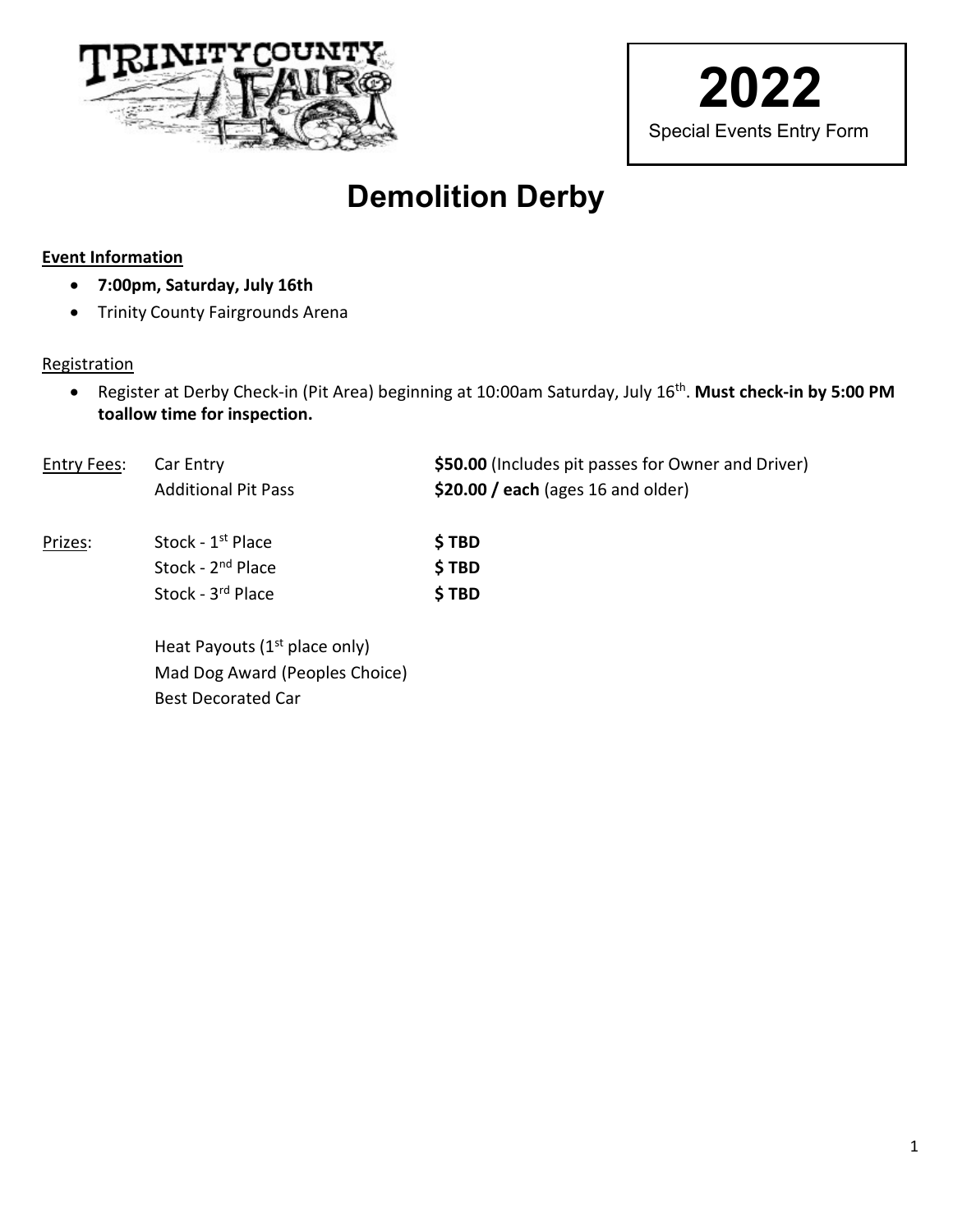



# **Demolition Derby**

#### **Event Information**

- **7:00pm, Saturday, July 16th**
- Trinity County Fairgrounds Arena

#### **Registration**

• Register at Derby Check-in (Pit Area) beginning at 10:00am Saturday, July 16th. **Must check-in by 5:00 PM toallow time for inspection.**

| <b>Entry Fees:</b> | Car Entry<br><b>Additional Pit Pass</b>                                             | \$50.00 (Includes pit passes for Owner and Driver)<br>$$20.00 / each$ (ages 16 and older) |
|--------------------|-------------------------------------------------------------------------------------|-------------------------------------------------------------------------------------------|
| Prizes:            | Stock - 1 <sup>st</sup> Place<br>Stock - 2 <sup>nd</sup> Place<br>Stock - 3rd Place | \$TBD<br>\$TBD<br>\$TBD                                                                   |
|                    | Heat Payouts (1 <sup>st</sup> place only)                                           |                                                                                           |

eat Payouts (1st place only) Mad Dog Award (Peoples Choice) Best Decorated Car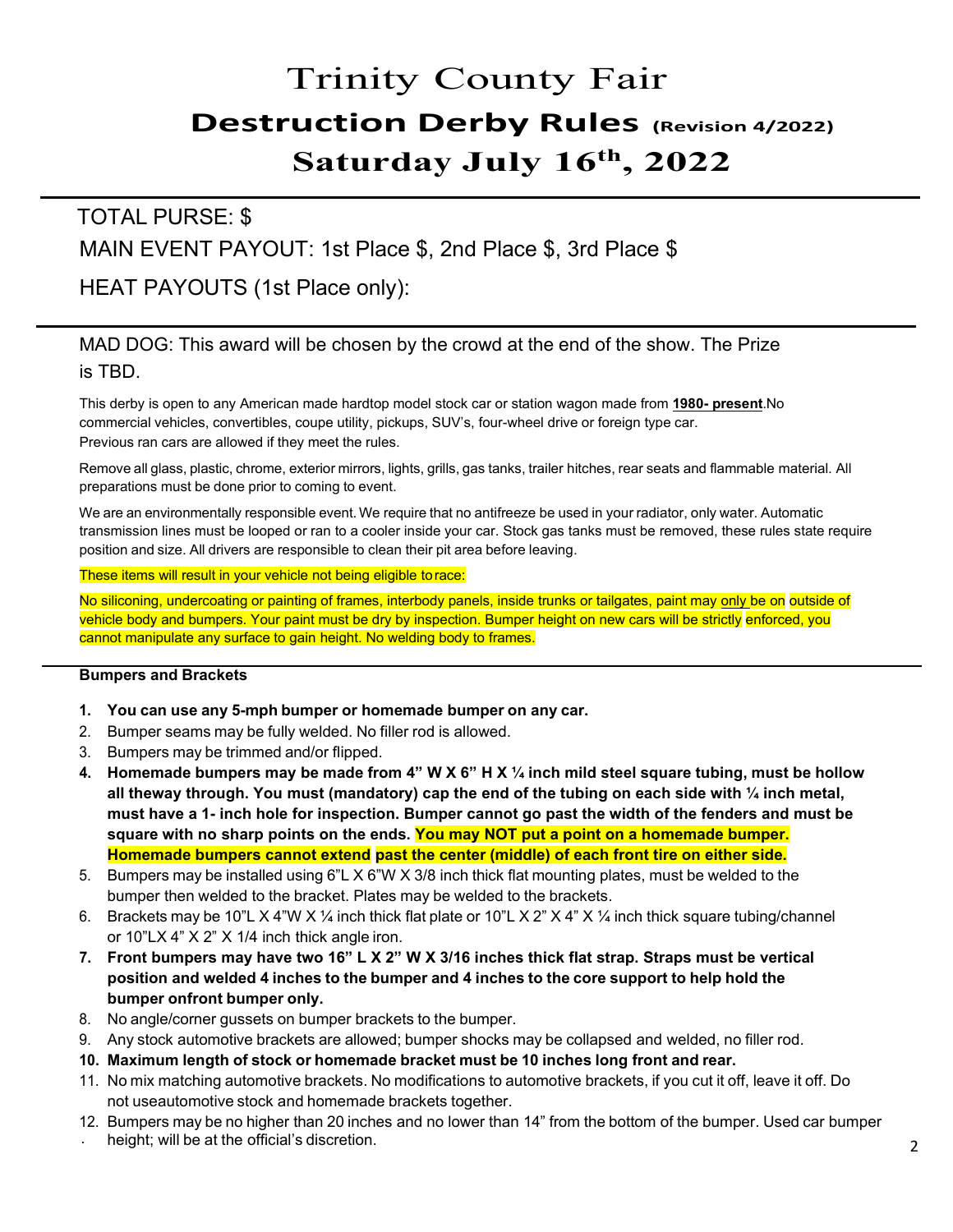# Trinity County Fair **Destruction Derby Rules (Revision 4/2022) Saturday July 16th, 2022**

### TOTAL PURSE: \$ MAIN EVENT PAYOUT: 1st Place \$, 2nd Place \$, 3rd Place \$

### HEAT PAYOUTS (1st Place only):

### MAD DOG: This award will be chosen by the crowd at the end of the show. The Prize is TBD.

This derby is open to any American made hardtop model stock car or station wagon made from **1980- present**. No commercial vehicles, convertibles, coupe utility, pickups, SUV's, four-wheel drive or foreign type car. Previous ran cars are allowed if they meet the rules.

Remove all glass, plastic, chrome, exterior mirrors, lights, grills, gas tanks, trailer hitches, rear seats and flammable material. All preparations must be done prior to coming to event.

We are an environmentally responsible event. We require that no antifreeze be used in your radiator, only water. Automatic transmission lines must be looped or ran to a cooler inside your car. Stock gas tanks must be removed, these rules state require position and size. All drivers are responsible to clean their pit area before leaving.

These items will result in your vehicle not being eligible torace:

No siliconing, undercoating or painting of frames, interbody panels, inside trunks or tailgates, paint may only be on outside of vehicle body and bumpers. Your paint must be dry by inspection. Bumper height on new cars will be strictly enforced, you cannot manipulate any surface to gain height. No welding body to frames.

#### **Bumpers and Brackets**

- **1. You can use any 5-mph bumper or homemade bumper on any car.**
- 2. Bumper seams may be fully welded. No filler rod is allowed.
- 3. Bumpers may be trimmed and/or flipped.
- **4. Homemade bumpers may be made from 4" W X 6" H X ¼ inch mild steel square tubing, must be hollow all theway through. You must (mandatory) cap the end of the tubing on each side with ¼ inch metal, must have a 1- inch hole for inspection. Bumper cannot go past the width of the fenders and must be square with no sharp points on the ends. You may NOT put a point on a homemade bumper. Homemade bumpers cannot extend past the center (middle) of each front tire on either side.**
- 5. Bumpers may be installed using 6"L X 6"W X 3/8 inch thick flat mounting plates, must be welded to the bumper then welded to the bracket. Plates may be welded to the brackets.
- 6. Brackets may be 10"L X 4"W X ¼ inch thick flat plate or 10"L X 2" X 4" X ¼ inch thick square tubing/channel or  $10"$ LX  $4"$  X  $2"$  X  $1/4$  inch thick angle iron.
- **7. Front bumpers may have two 16" L X 2" W X 3/16 inches thick flat strap. Straps must be vertical position and welded 4 inches to the bumper and 4 inches to the core support to help hold the bumper onfront bumper only.**
- 8. No angle/corner gussets on bumper brackets to the bumper.
- 9. Any stock automotive brackets are allowed; bumper shocks may be collapsed and welded, no filler rod.
- **10. Maximum length of stock or homemade bracket must be 10 inches long front and rear.**
- 11. No mix matching automotive brackets. No modifications to automotive brackets, if you cut it off, leave it off. Do not useautomotive stock and homemade brackets together.
- . 2 height; will be at the official's discretion. 12. Bumpers may be no higher than 20 inches and no lower than 14" from the bottom of the bumper. Used car bumper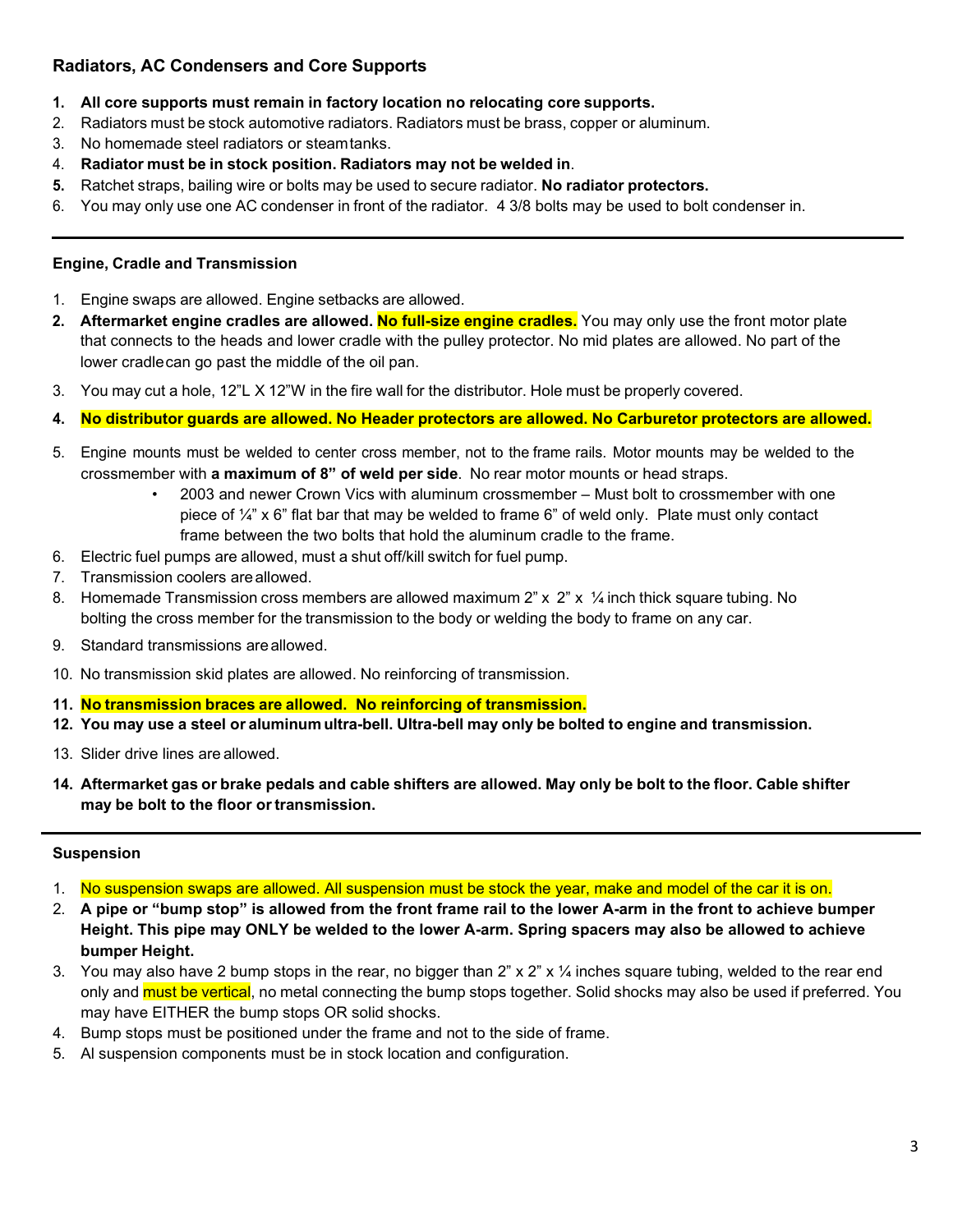#### **Radiators, AC Condensers and Core Supports**

- **1. All core supports must remain in factory location no relocating core supports.**
- 2. Radiators must be stock automotive radiators. Radiators must be brass, copper or aluminum.
- 3. No homemade steel radiators or steamtanks.
- 4. **Radiator must be in stock position. Radiators may not be welded in**.
- **5.** Ratchet straps, bailing wire or bolts may be used to secure radiator. **No radiator protectors.**
- 6. You may only use one AC condenser in front of the radiator. 4 3/8 bolts may be used to bolt condenser in.

#### **Engine, Cradle and Transmission**

- 1. Engine swaps are allowed. Engine setbacks are allowed.
- **2. Aftermarket engine cradles are allowed. No full-size engine cradles.** You may only use the front motor plate that connects to the heads and lower cradle with the pulley protector. No mid plates are allowed. No part of the lower cradlecan go past the middle of the oil pan.
- 3. You may cut a hole, 12"L X 12"W in the fire wall for the distributor. Hole must be properly covered.
- **4. No distributor guards are allowed. No Header protectors are allowed. No Carburetor protectors are allowed.**
- 5. Engine mounts must be welded to center cross member, not to the frame rails. Motor mounts may be welded to the crossmember with **a maximum of 8" of weld per side**. No rear motor mounts or head straps.
	- 2003 and newer Crown Vics with aluminum crossmember Must bolt to crossmember with one piece of ¼" x 6" flat bar that may be welded to frame 6" of weld only. Plate must only contact frame between the two bolts that hold the aluminum cradle to the frame.
- 6. Electric fuel pumps are allowed, must a shut off/kill switch for fuel pump.
- 7. Transmission coolers areallowed.
- 8. Homemade Transmission cross members are allowed maximum 2" x 2" x 1/4 inch thick square tubing. No bolting the cross member for the transmission to the body or welding the body to frame on any car.
- 9. Standard transmissions areallowed.
- 10. No transmission skid plates are allowed. No reinforcing of transmission.
- **11. No transmission braces are allowed. No reinforcing of transmission.**
- **12. You may use a steel or aluminum ultra-bell. Ultra-bell may only be bolted to engine and transmission.**
- 13. Slider drive lines are allowed.
- 14. Aftermarket gas or brake pedals and cable shifters are allowed. May only be bolt to the floor. Cable shifter **may be bolt to the floor ortransmission.**

#### **Suspension**

- 1. No suspension swaps are allowed. All suspension must be stock the year, make and model of the car it is on.
- 2. **A pipe or "bump stop" is allowed from the front frame rail to the lower A-arm in the front to achieve bumper Height. This pipe may ONLY be welded to the lower A-arm. Spring spacers may also be allowed to achieve bumper Height.**
- 3. You may also have 2 bump stops in the rear, no bigger than 2" x 2" x  $\frac{1}{4}$  inches square tubing, welded to the rear end only and must be vertical, no metal connecting the bump stops together. Solid shocks may also be used if preferred. You may have EITHER the bump stops OR solid shocks.
- 4. Bump stops must be positioned under the frame and not to the side of frame.
- 5. Al suspension components must be in stock location and configuration.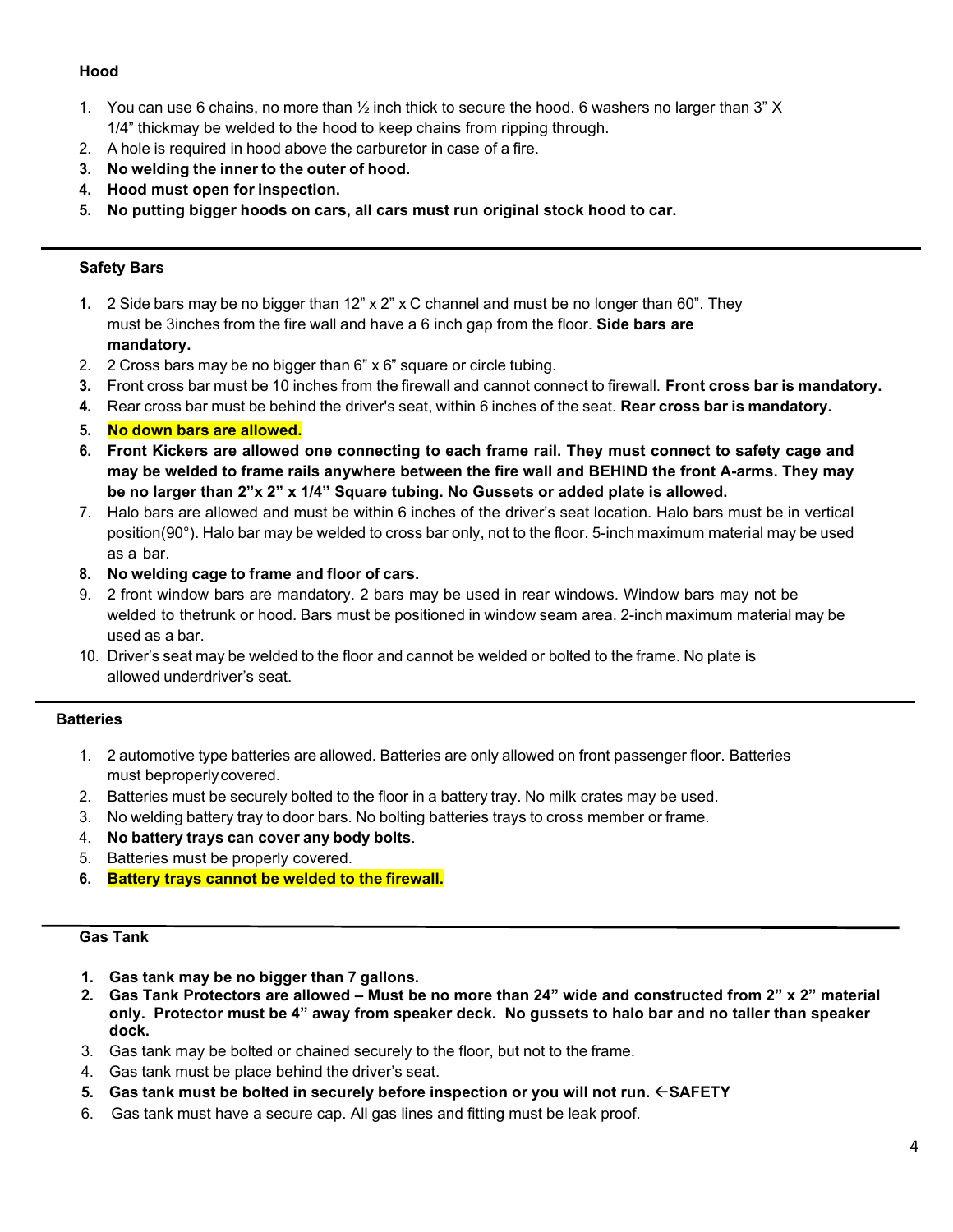#### **Hood**

- 1. You can use 6 chains, no more than ½ inch thick to secure the hood. 6 washers no larger than 3" X 1/4" thickmay be welded to the hood to keep chains from ripping through.
- 2. A hole is required in hood above the carburetor in case of a fire.
- **3. No welding the inner to the outer of hood.**
- **4. Hood must open for inspection.**
- **5. No putting bigger hoods on cars, all cars must run original stock hood to car.**

#### **Safety Bars**

- **1.** 2 Side bars may be no bigger than 12" x 2" x C channel and must be no longer than 60". They must be 3 inches from the fire wall and have a 6 inch gap from the floor. **Side bars are mandatory.**
- 2. 2 Cross bars may be no bigger than 6" x 6" square or circle tubing.
- **3.** Front cross bar must be 10 inches from the firewall and cannot connect to firewall. **Front cross bar is mandatory.**
- **4.** Rear cross bar must be behind the driver's seat, within 6 inches of the seat. **Rear cross bar is mandatory.**
- **5. No down bars are allowed.**
- **6. Front Kickers are allowed one connecting to each frame rail. They must connect to safety cage and may be welded to frame rails anywhere between the fire wall and BEHIND the front A-arms. They may be no larger than 2"x 2" x 1/4" Square tubing. No Gussets or added plate is allowed.**
- 7. Halo bars are allowed and must be within 6 inches of the driver's seat location. Halo bars must be in vertical position(90°). Halo bar may be welded to cross bar only, not to the floor. 5-inch maximum material may be used as a bar.
- **8. No welding cage to frame and floor of cars.**
- 9. 2 front window bars are mandatory. 2 bars may be used in rear windows. Window bars may not be welded to thetrunk or hood. Bars must be positioned in window seam area. 2-inch maximum material may be used as a bar.
- 10. Driver's seat may be welded to the floor and cannot be welded or bolted to the frame. No plate is allowed underdriver's seat.

#### **Batteries**

- 1. 2 automotive type batteries are allowed. Batteries are only allowed on front passenger floor. Batteries must beproperlycovered.
- 2. Batteries must be securely bolted to the floor in a battery tray. No milk crates may be used.
- 3. No welding battery tray to door bars. No bolting batteries trays to cross member or frame.
- 4. **No battery trays can cover any body bolts**.
- 5. Batteries must be properly covered.
- **6. Battery trays cannot be welded to the firewall.**

#### **Gas Tank**

- **1. Gas tank may be no bigger than 7 gallons.**
- **2. Gas Tank Protectors are allowed Must be no more than 24" wide and constructed from 2" x 2" material only. Protector must be 4" away from speaker deck. No gussets to halo bar and no taller than speaker dock.**
- 3. Gas tank may be bolted or chained securely to the floor, but not to the frame.
- 4. Gas tank must be place behind the driver's seat.
- **5. Gas tank must be bolted in securely before inspection or you will not run. SAFETY**
- 6. Gas tank must have a secure cap. All gas lines and fitting must be leak proof.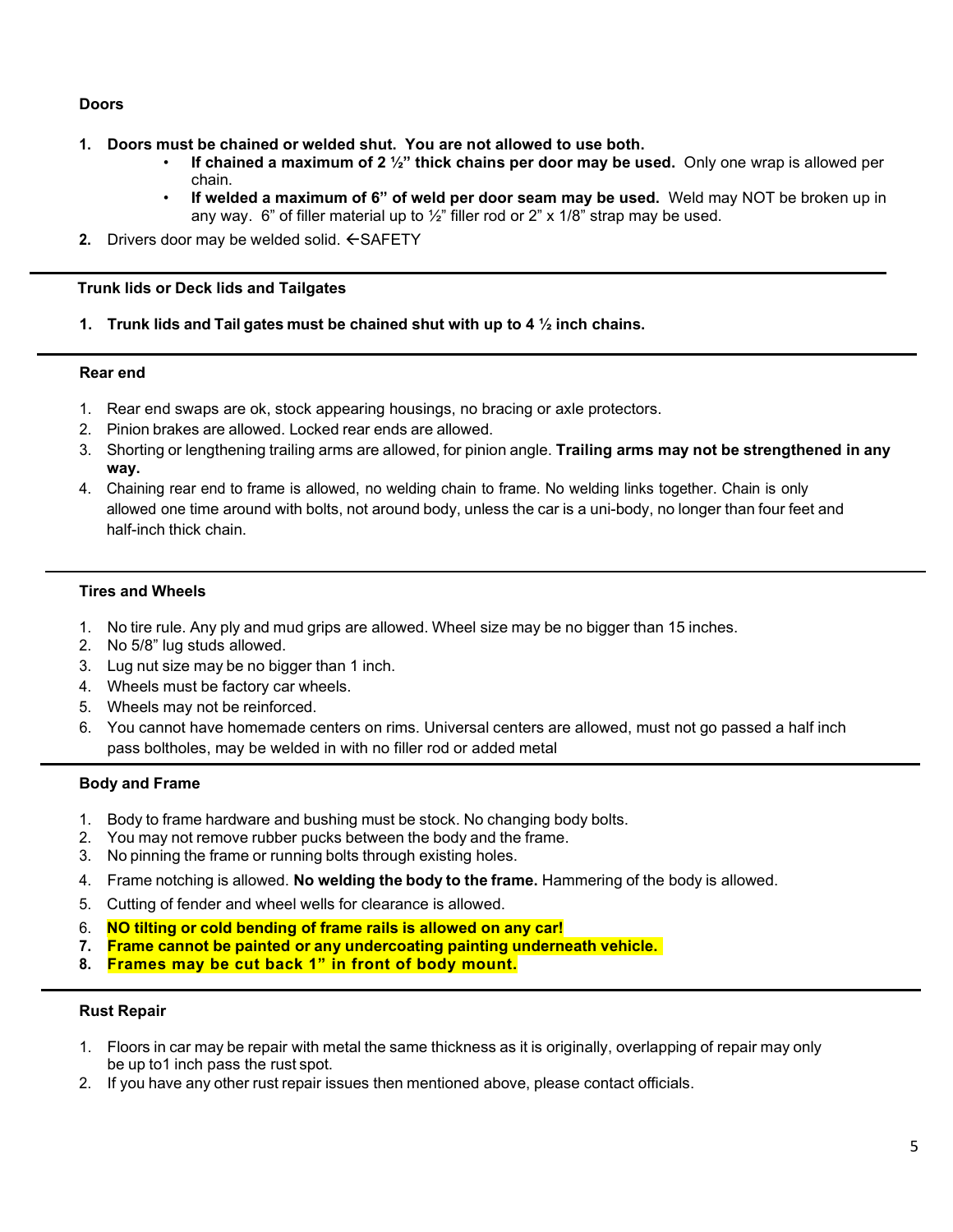#### **Doors**

- **1. Doors must be chained or welded shut. You are not allowed to use both.**
	- **If chained a maximum of 2 ½" thick chains per door may be used.** Only one wrap is allowed per chain.
	- **If welded a maximum of 6" of weld per door seam may be used.** Weld may NOT be broken up in any way. 6" of filler material up to  $\frac{1}{2}$ " filler rod or 2" x 1/8" strap may be used.
- 2. Drivers door may be welded solid.  $\leftarrow$  SAFETY

#### **Trunk lids or Deck lids and Tailgates**

**1. Trunk lids and Tail gates must be chained shut with up to 4 ½ inch chains.**

#### **Rear end**

- 1. Rear end swaps are ok, stock appearing housings, no bracing or axle protectors.
- 2. Pinion brakes are allowed. Locked rear ends are allowed.
- 3. Shorting or lengthening trailing arms are allowed, for pinion angle. **Trailing arms may not be strengthened in any way.**
- 4. Chaining rear end to frame is allowed, no welding chain to frame. No welding links together. Chain is only allowed one time around with bolts, not around body, unless the car is a uni-body, no longer than four feet and half-inch thick chain.

#### **Tires and Wheels**

- 1. No tire rule. Any ply and mud grips are allowed. Wheel size may be no bigger than 15 inches.
- 2. No 5/8" lug studs allowed.
- 3. Lug nut size may be no bigger than 1 inch.
- 4. Wheels must be factory car wheels.
- 5. Wheels may not be reinforced.
- 6. You cannot have homemade centers on rims. Universal centers are allowed, must not go passed a half inch pass boltholes, may be welded in with no filler rod or added metal

#### **Body and Frame**

- 1. Body to frame hardware and bushing must be stock. No changing body bolts.
- 2. You may not remove rubber pucks between the body and the frame.
- 3. No pinning the frame or running bolts through existing holes.
- 4. Frame notching is allowed. **No welding the body to the frame.** Hammering of the body is allowed.
- 5. Cutting of fender and wheel wells for clearance is allowed.
- 6. **NO tilting or cold bending of frame rails is allowed on any car!**
- **7. Frame cannot be painted or any undercoating painting underneath vehicle.**
- **8. Frames may be cut back 1" in front of body mount.**

#### **Rust Repair**

- 1. Floors in car may be repair with metal the same thickness as it is originally, overlapping of repair may only be up to 1 inch pass the rust spot.
- 2. If you have any other rust repair issues then mentioned above, please contact officials.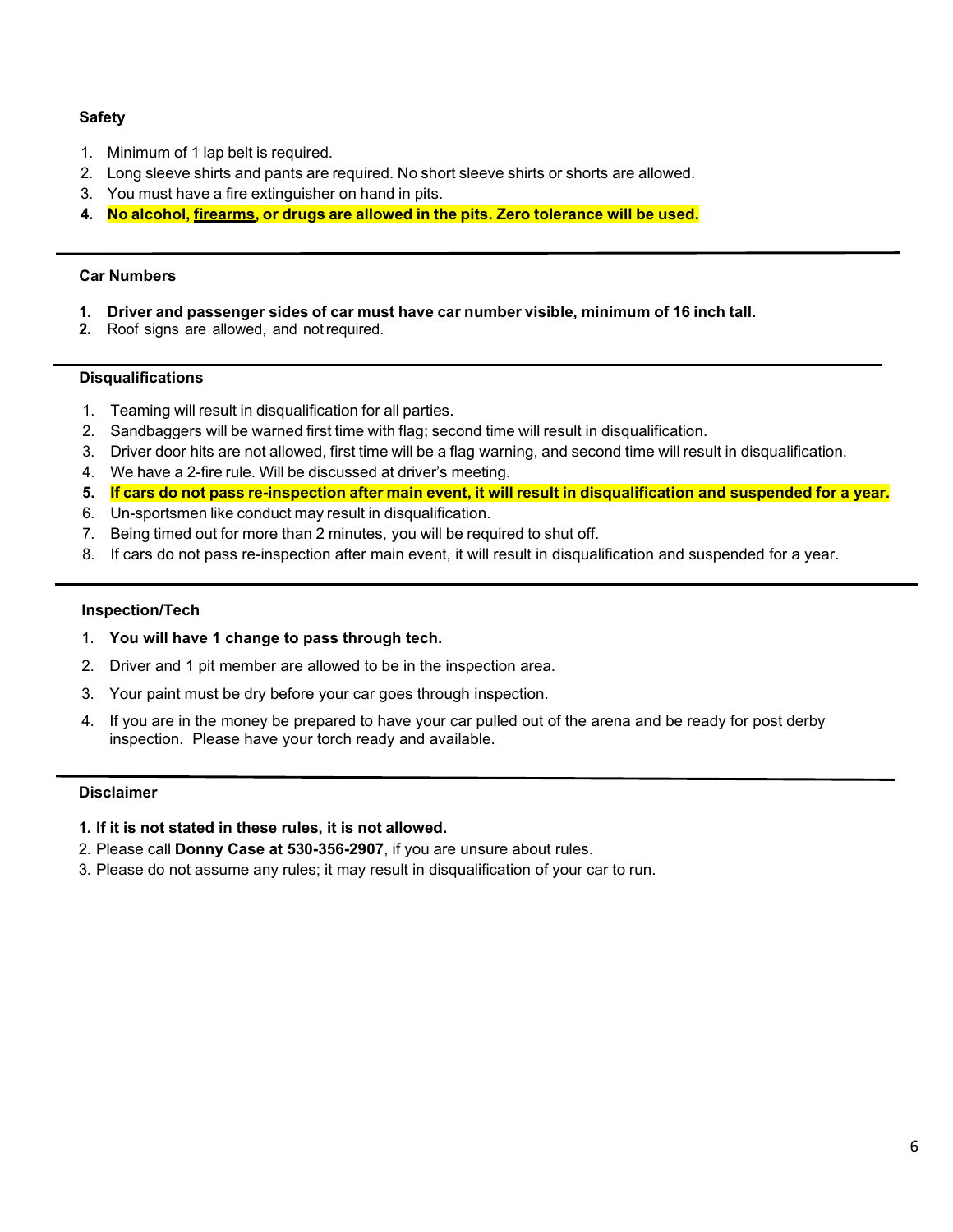#### **Safety**

- 1. Minimum of 1 lap belt is required.
- 2. Long sleeve shirts and pants are required. No short sleeve shirts or shorts are allowed.
- 3. You must have a fire extinguisher on hand in pits.
- **4. No alcohol, firearms, or drugs are allowed in the pits. Zero tolerance will be used.**

#### **Car Numbers**

- **1. Driver and passenger sides of car must have car number visible, minimum of 16 inch tall.**
- **2.** Roof signs are allowed, and notrequired.

#### **Disqualifications**

- 1. Teaming will result in disqualification for all parties.
- 2. Sandbaggers will be warned first time with flag; second time will result in disqualification.
- 3. Driver door hits are not allowed, first time will be a flag warning, and second time will result in disqualification.
- 4. We have a 2-fire rule. Will be discussed at driver's meeting.
- 5. If cars do not pass re-inspection after main event, it will result in disqualification and suspended for a year.
- 6. Un-sportsmen like conduct may result in disqualification.
- 7. Being timed out for more than 2 minutes, you will be required to shut off.
- 8. If cars do not pass re-inspection after main event, it will result in disqualification and suspended for a year.

#### **Inspection/Tech**

- 1. **You will have 1 change to pass through tech.**
- 2. Driver and 1 pit member are allowed to be in the inspection area.
- 3. Your paint must be dry before your car goes through inspection.
- 4. If you are in the money be prepared to have your car pulled out of the arena and be ready for post derby inspection. Please have your torch ready and available.

#### **Disclaimer**

- **1. If it is not stated in these rules, it is not allowed.**
- 2. Please call **Donny Case at 530-356-2907**, if you are unsure about rules.
- 3. Please do not assume any rules; it may result in disqualification of your car to run.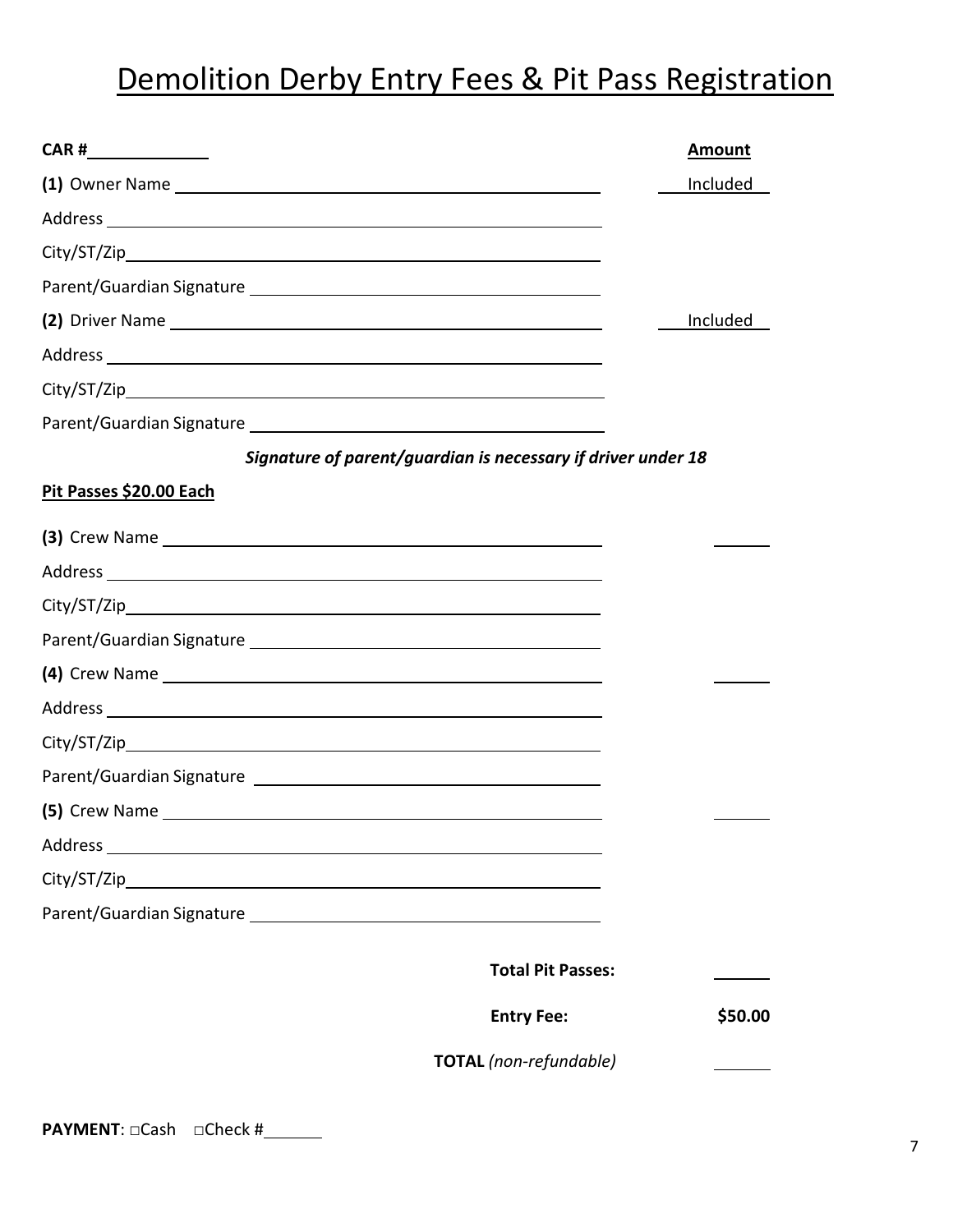# Demolition Derby Entry Fees & Pit Pass Registration

| CAR #________________                                                                                                                                                                                                         |                                                              | <b>Amount</b>   |
|-------------------------------------------------------------------------------------------------------------------------------------------------------------------------------------------------------------------------------|--------------------------------------------------------------|-----------------|
|                                                                                                                                                                                                                               |                                                              | <b>Included</b> |
| Address and the contract of the contract of the contract of the contract of the contract of the contract of the                                                                                                               |                                                              |                 |
|                                                                                                                                                                                                                               |                                                              |                 |
|                                                                                                                                                                                                                               |                                                              |                 |
| (2) Driver Name experience and the set of the set of the set of the set of the set of the set of the set of the                                                                                                               |                                                              | Included        |
|                                                                                                                                                                                                                               |                                                              |                 |
|                                                                                                                                                                                                                               |                                                              |                 |
|                                                                                                                                                                                                                               |                                                              |                 |
|                                                                                                                                                                                                                               | Signature of parent/guardian is necessary if driver under 18 |                 |
| Pit Passes \$20.00 Each                                                                                                                                                                                                       |                                                              |                 |
| (3) Crew Name experience and the series of the series of the series of the series of the series of the series of the series of the series of the series of the series of the series of the series of the series of the series |                                                              |                 |
|                                                                                                                                                                                                                               |                                                              |                 |
|                                                                                                                                                                                                                               |                                                              |                 |
|                                                                                                                                                                                                                               |                                                              |                 |
|                                                                                                                                                                                                                               |                                                              |                 |
|                                                                                                                                                                                                                               |                                                              |                 |
|                                                                                                                                                                                                                               |                                                              |                 |
|                                                                                                                                                                                                                               |                                                              |                 |
|                                                                                                                                                                                                                               |                                                              |                 |
|                                                                                                                                                                                                                               |                                                              |                 |
|                                                                                                                                                                                                                               |                                                              |                 |
|                                                                                                                                                                                                                               |                                                              |                 |
|                                                                                                                                                                                                                               |                                                              |                 |
|                                                                                                                                                                                                                               | <b>Total Pit Passes:</b>                                     |                 |
|                                                                                                                                                                                                                               | <b>Entry Fee:</b>                                            | \$50.00         |
|                                                                                                                                                                                                                               | TOTAL (non-refundable)                                       |                 |
|                                                                                                                                                                                                                               |                                                              |                 |